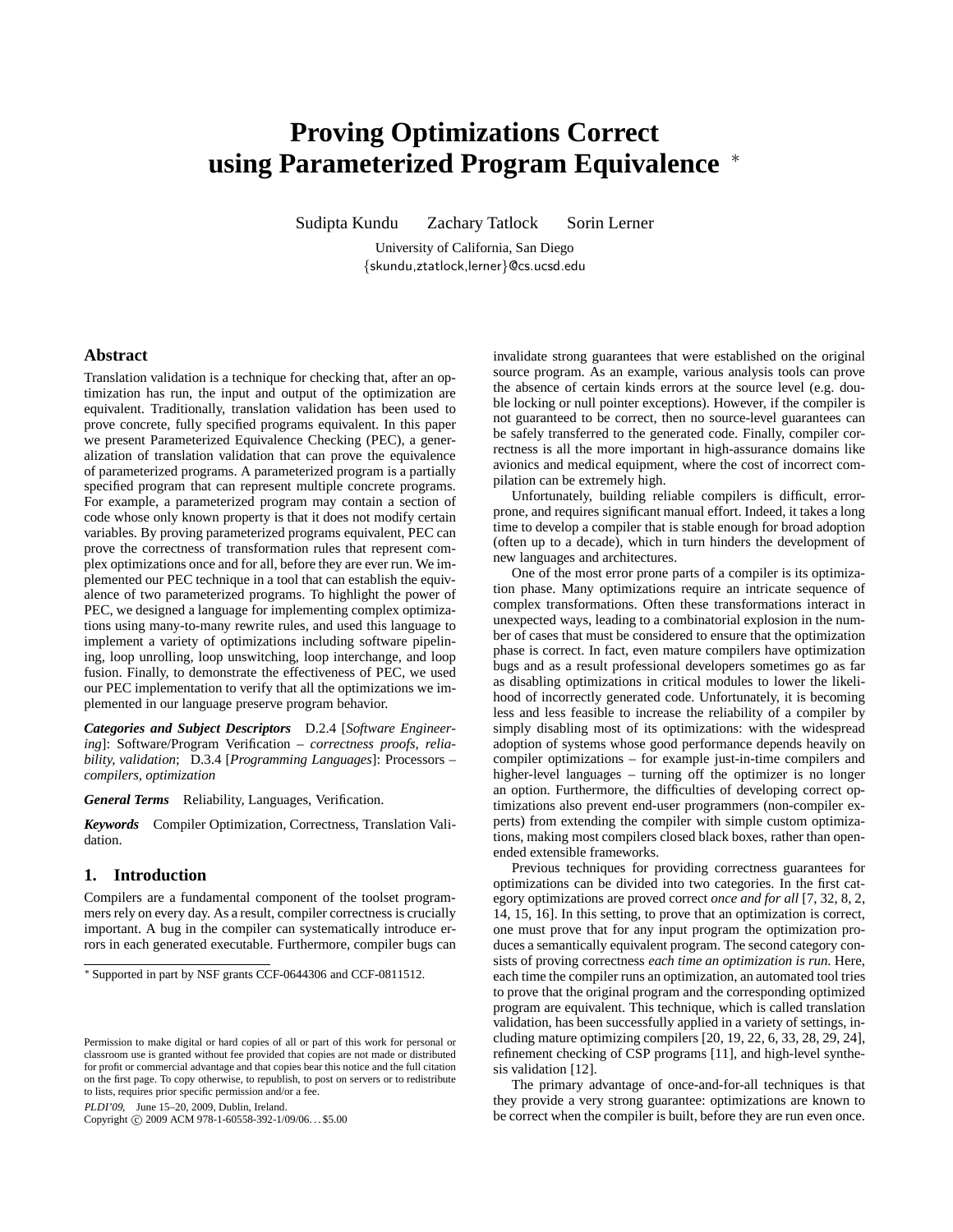# **Proving Optimizations Correct using Parameterized Program Equivalence** <sup>∗</sup>

Sudipta Kundu Zachary Tatlock Sorin Lerner

University of California, San Diego {skundu,ztatlock,lerner}@cs.ucsd.edu

## **Abstract**

Translation validation is a technique for checking that, after an optimization has run, the input and output of the optimization are equivalent. Traditionally, translation validation has been used to prove concrete, fully specified programs equivalent. In this paper we present Parameterized Equivalence Checking (PEC), a generalization of translation validation that can prove the equivalence of parameterized programs. A parameterized program is a partially specified program that can represent multiple concrete programs. For example, a parameterized program may contain a section of code whose only known property is that it does not modify certain variables. By proving parameterized programs equivalent, PEC can prove the correctness of transformation rules that represent complex optimizations once and for all, before they are ever run. We implemented our PEC technique in a tool that can establish the equivalence of two parameterized programs. To highlight the power of PEC, we designed a language for implementing complex optimizations using many-to-many rewrite rules, and used this language to implement a variety of optimizations including software pipelining, loop unrolling, loop unswitching, loop interchange, and loop fusion. Finally, to demonstrate the effectiveness of PEC, we used our PEC implementation to verify that all the optimizations we implemented in our language preserve program behavior.

*Categories and Subject Descriptors* D.2.4 [*Software Engineering*]: Software/Program Verification – *correctness proofs, reliability, validation*; D.3.4 [*Programming Languages*]: Processors – *compilers, optimization*

*General Terms* Reliability, Languages, Verification.

*Keywords* Compiler Optimization, Correctness, Translation Validation.

#### **1. Introduction**

Compilers are a fundamental component of the toolset programmers rely on every day. As a result, compiler correctness is crucially important. A bug in the compiler can systematically introduce errors in each generated executable. Furthermore, compiler bugs can

PLDI'09, June 15–20, 2009, Dublin, Ireland.

Copyright © 2009 ACM 978-1-60558-392-1/09/06... \$5.00

invalidate strong guarantees that were established on the original source program. As an example, various analysis tools can prove the absence of certain kinds errors at the source level (e.g. double locking or null pointer exceptions). However, if the compiler is not guaranteed to be correct, then no source-level guarantees can be safely transferred to the generated code. Finally, compiler correctness is all the more important in high-assurance domains like avionics and medical equipment, where the cost of incorrect compilation can be extremely high.

Unfortunately, building reliable compilers is difficult, errorprone, and requires significant manual effort. Indeed, it takes a long time to develop a compiler that is stable enough for broad adoption (often up to a decade), which in turn hinders the development of new languages and architectures.

One of the most error prone parts of a compiler is its optimization phase. Many optimizations require an intricate sequence of complex transformations. Often these transformations interact in unexpected ways, leading to a combinatorial explosion in the number of cases that must be considered to ensure that the optimization phase is correct. In fact, even mature compilers have optimization bugs and as a result professional developers sometimes go as far as disabling optimizations in critical modules to lower the likelihood of incorrectly generated code. Unfortunately, it is becoming less and less feasible to increase the reliability of a compiler by simply disabling most of its optimizations: with the widespread adoption of systems whose good performance depends heavily on compiler optimizations – for example just-in-time compilers and higher-level languages – turning off the optimizer is no longer an option. Furthermore, the difficulties of developing correct optimizations also prevent end-user programmers (non-compiler experts) from extending the compiler with simple custom optimizations, making most compilers closed black boxes, rather than openended extensible frameworks.

Previous techniques for providing correctness guarantees for optimizations can be divided into two categories. In the first category optimizations are proved correct *once and for all* [7, 32, 8, 2, 14, 15, 16]. In this setting, to prove that an optimization is correct, one must prove that for any input program the optimization produces a semantically equivalent program. The second category consists of proving correctness *each time an optimization is run*. Here, each time the compiler runs an optimization, an automated tool tries to prove that the original program and the corresponding optimized program are equivalent. This technique, which is called translation validation, has been successfully applied in a variety of settings, including mature optimizing compilers [20, 19, 22, 6, 33, 28, 29, 24], refinement checking of CSP programs [11], and high-level synthesis validation [12].

The primary advantage of once-and-for-all techniques is that they provide a very strong guarantee: optimizations are known to be correct when the compiler is built, before they are run even once.

<sup>∗</sup> Supported in part by NSF grants CCF-0644306 and CCF-0811512.

Permission to make digital or hard copies of all or part of this work for personal or classroom use is granted without fee provided that copies are not made or distributed for profit or commercial advantage and that copies bear this notice and the full citation on the first page. To copy otherwise, to republish, to post on servers or to redistribute to lists, requires prior specific permission and/or a fee.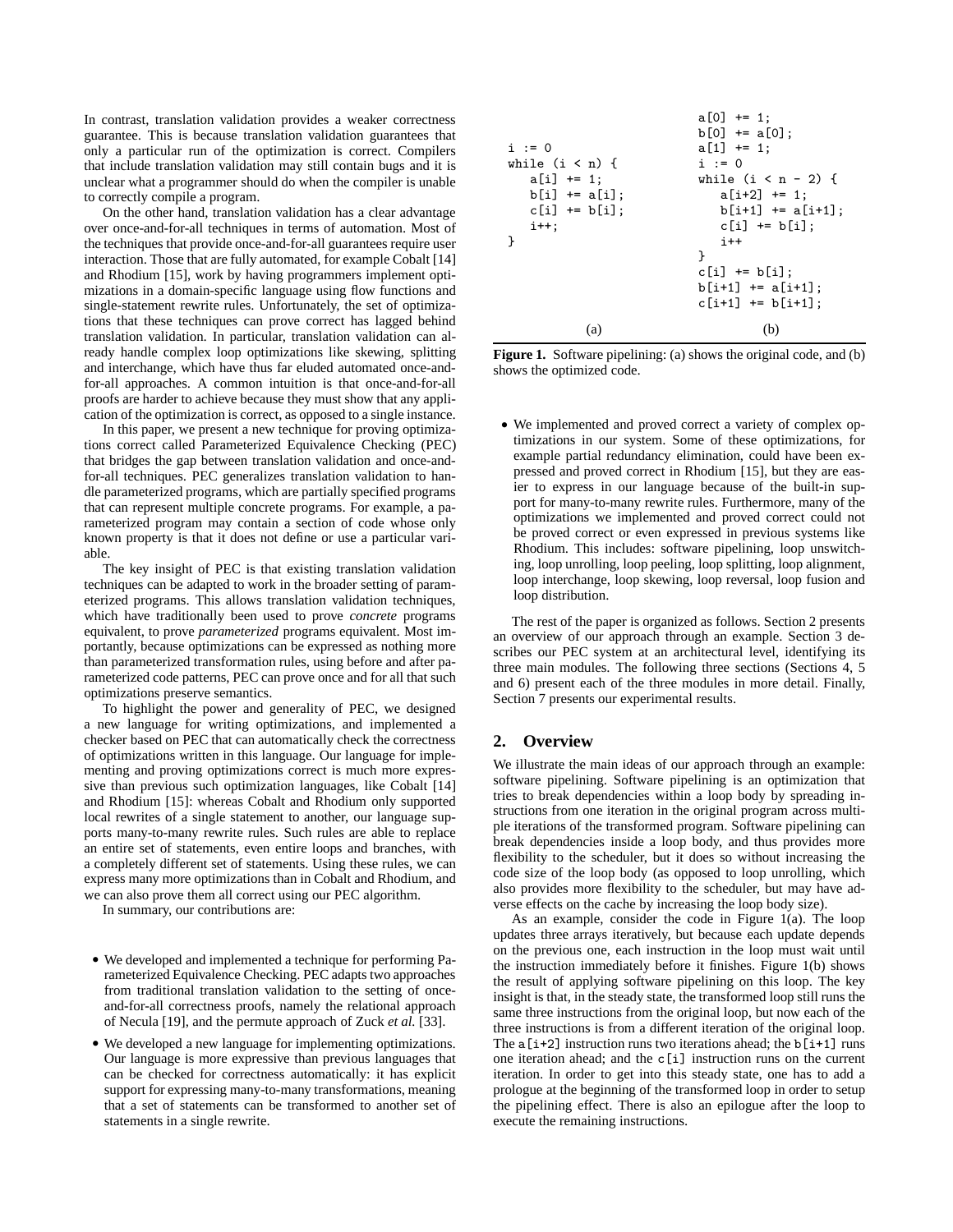In contrast, translation validation provides a weaker correctness guarantee. This is because translation validation guarantees that only a particular run of the optimization is correct. Compilers that include translation validation may still contain bugs and it is unclear what a programmer should do when the compiler is unable to correctly compile a program.

On the other hand, translation validation has a clear advantage over once-and-for-all techniques in terms of automation. Most of the techniques that provide once-and-for-all guarantees require user interaction. Those that are fully automated, for example Cobalt [14] and Rhodium [15], work by having programmers implement optimizations in a domain-specific language using flow functions and single-statement rewrite rules. Unfortunately, the set of optimizations that these techniques can prove correct has lagged behind translation validation. In particular, translation validation can already handle complex loop optimizations like skewing, splitting and interchange, which have thus far eluded automated once-andfor-all approaches. A common intuition is that once-and-for-all proofs are harder to achieve because they must show that any application of the optimization is correct, as opposed to a single instance.

In this paper, we present a new technique for proving optimizations correct called Parameterized Equivalence Checking (PEC) that bridges the gap between translation validation and once-andfor-all techniques. PEC generalizes translation validation to handle parameterized programs, which are partially specified programs that can represent multiple concrete programs. For example, a parameterized program may contain a section of code whose only known property is that it does not define or use a particular variable.

The key insight of PEC is that existing translation validation techniques can be adapted to work in the broader setting of parameterized programs. This allows translation validation techniques, which have traditionally been used to prove *concrete* programs equivalent, to prove *parameterized* programs equivalent. Most importantly, because optimizations can be expressed as nothing more than parameterized transformation rules, using before and after parameterized code patterns, PEC can prove once and for all that such optimizations preserve semantics.

To highlight the power and generality of PEC, we designed a new language for writing optimizations, and implemented a checker based on PEC that can automatically check the correctness of optimizations written in this language. Our language for implementing and proving optimizations correct is much more expressive than previous such optimization languages, like Cobalt [14] and Rhodium [15]: whereas Cobalt and Rhodium only supported local rewrites of a single statement to another, our language supports many-to-many rewrite rules. Such rules are able to replace an entire set of statements, even entire loops and branches, with a completely different set of statements. Using these rules, we can express many more optimizations than in Cobalt and Rhodium, and we can also prove them all correct using our PEC algorithm.

In summary, our contributions are:

- We developed and implemented a technique for performing Parameterized Equivalence Checking. PEC adapts two approaches from traditional translation validation to the setting of onceand-for-all correctness proofs, namely the relational approach of Necula [19], and the permute approach of Zuck *et al.* [33].
- We developed a new language for implementing optimizations. Our language is more expressive than previous languages that can be checked for correctness automatically: it has explicit support for expressing many-to-many transformations, meaning that a set of statements can be transformed to another set of statements in a single rewrite.

| $i := 0$<br>while $(i < n)$ {<br>$a[i]$ += 1;<br>$b[i]$ += $a[i]$ ;<br>$c[i]$ += $b[i]$ :<br>$i++$ : | $a[0]$ += 1;<br>$b[0]$ += $a[0]$ ;<br>$a[1] += 1$ :<br>$i := 0$<br>while $(i \leq n - 2)$ {<br>$a[i+2]$ += 1;<br>$b[i+1]$ += $a[i+1]$ ;<br>$c[i]$ += $b[i]$ :<br>$i++$<br>$\ddot{\ }$<br>$c[i]$ += $b[i]$ ;<br>$b[i+1]$ += $a[i+1]$ : |
|------------------------------------------------------------------------------------------------------|---------------------------------------------------------------------------------------------------------------------------------------------------------------------------------------------------------------------------------------|
|                                                                                                      | $c[i+1]$ += $b[i+1]$ :                                                                                                                                                                                                                |
| (a)                                                                                                  | (b)                                                                                                                                                                                                                                   |
|                                                                                                      |                                                                                                                                                                                                                                       |

**Figure 1.** Software pipelining: (a) shows the original code, and (b) shows the optimized code.

• We implemented and proved correct a variety of complex optimizations in our system. Some of these optimizations, for example partial redundancy elimination, could have been expressed and proved correct in Rhodium [15], but they are easier to express in our language because of the built-in support for many-to-many rewrite rules. Furthermore, many of the optimizations we implemented and proved correct could not be proved correct or even expressed in previous systems like Rhodium. This includes: software pipelining, loop unswitching, loop unrolling, loop peeling, loop splitting, loop alignment, loop interchange, loop skewing, loop reversal, loop fusion and loop distribution.

The rest of the paper is organized as follows. Section 2 presents an overview of our approach through an example. Section 3 describes our PEC system at an architectural level, identifying its three main modules. The following three sections (Sections 4, 5 and 6) present each of the three modules in more detail. Finally, Section 7 presents our experimental results.

## **2. Overview**

We illustrate the main ideas of our approach through an example: software pipelining. Software pipelining is an optimization that tries to break dependencies within a loop body by spreading instructions from one iteration in the original program across multiple iterations of the transformed program. Software pipelining can break dependencies inside a loop body, and thus provides more flexibility to the scheduler, but it does so without increasing the code size of the loop body (as opposed to loop unrolling, which also provides more flexibility to the scheduler, but may have adverse effects on the cache by increasing the loop body size).

As an example, consider the code in Figure 1(a). The loop updates three arrays iteratively, but because each update depends on the previous one, each instruction in the loop must wait until the instruction immediately before it finishes. Figure 1(b) shows the result of applying software pipelining on this loop. The key insight is that, in the steady state, the transformed loop still runs the same three instructions from the original loop, but now each of the three instructions is from a different iteration of the original loop. The  $a[i+2]$  instruction runs two iterations ahead; the  $b[i+1]$  runs one iteration ahead; and the c[i] instruction runs on the current iteration. In order to get into this steady state, one has to add a prologue at the beginning of the transformed loop in order to setup the pipelining effect. There is also an epilogue after the loop to execute the remaining instructions.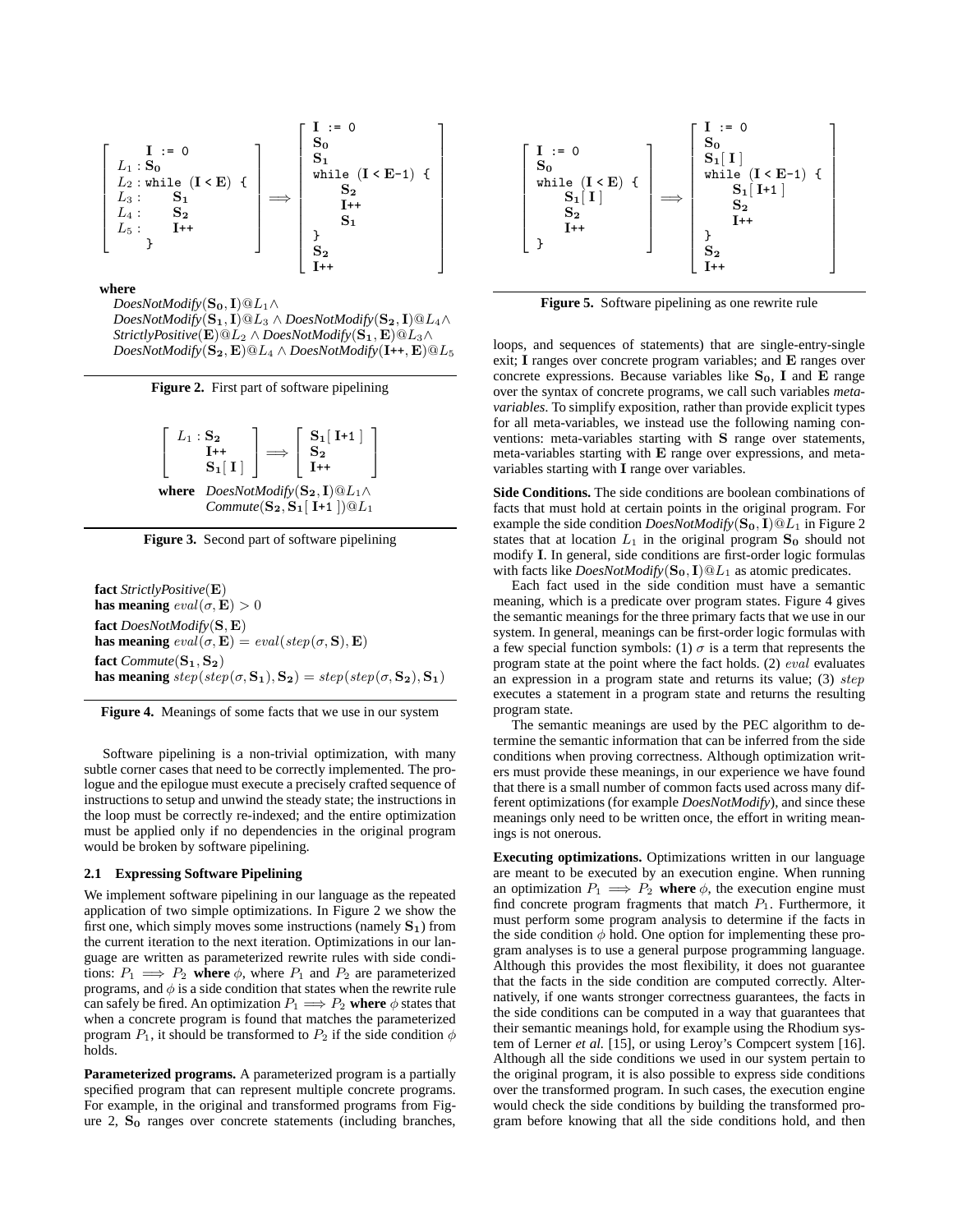

#### **where**

*DoesNotModify* $({\bf S}_0, {\bf I})@L_1 \wedge$  $Does Not Modify(\mathbf{S_1}, \mathbf{I})@L_3 \wedge Does Not Modify(\mathbf{S_2}, \mathbf{I})@L_4 \wedge$  $StrictlyPositive(\mathbf{E})@L_2 \wedge DoesNot Modify(\mathbf{S_1}, \mathbf{E})@L_3 \wedge$  $Does Not Modify(\mathbf{S_2}, \mathbf{E})@L_4 \wedge Does Not Modify(\mathbf{I++}, \mathbf{E})@L_5$ 

**Figure 2.** First part of software pipelining

$$
\begin{bmatrix} L_1: \mathbf{S}_2 \\ \mathbf{I}^{++} \\ \mathbf{S}_1[\mathbf{I}] \end{bmatrix} \Longrightarrow \begin{bmatrix} \mathbf{S}_1[\mathbf{I}+1] \\ \mathbf{S}_2 \\ \mathbf{I}^{++} \\ \mathbf{I}^{++} \end{bmatrix}
$$
  
where  $DoesNotModij(\mathbf{S}_2, \mathbf{I})@L_1 \wedge$   
 $Comment(\mathbf{S}_2, \mathbf{S}_1[\mathbf{I}+1])@L_1$ 



**fact** *StrictlyPositive*(E) **has meaning**  $eval(\sigma, \mathbf{E}) > 0$ **fact** *DoesNotModify*(S, E) **has meaning**  $eval(\sigma, \mathbf{E}) = eval(step(\sigma, \mathbf{S}), \mathbf{E})$ **fact**  $Commute(S_1, S_2)$ **has meaning**  $step(step(\sigma, S_1), S_2) = step(step(\sigma, S_2), S_1)$ 

**Figure 4.** Meanings of some facts that we use in our system

Software pipelining is a non-trivial optimization, with many subtle corner cases that need to be correctly implemented. The prologue and the epilogue must execute a precisely crafted sequence of instructions to setup and unwind the steady state; the instructions in the loop must be correctly re-indexed; and the entire optimization must be applied only if no dependencies in the original program would be broken by software pipelining.

#### **2.1 Expressing Software Pipelining**

We implement software pipelining in our language as the repeated application of two simple optimizations. In Figure 2 we show the first one, which simply moves some instructions (namely  $S_1$ ) from the current iteration to the next iteration. Optimizations in our language are written as parameterized rewrite rules with side conditions:  $P_1 \implies P_2$  where  $\phi$ , where  $P_1$  and  $P_2$  are parameterized programs, and  $\phi$  is a side condition that states when the rewrite rule can safely be fired. An optimization  $P_1 \implies P_2$  where  $\phi$  states that when a concrete program is found that matches the parameterized program  $P_1$ , it should be transformed to  $P_2$  if the side condition  $\phi$ holds.

**Parameterized programs.** A parameterized program is a partially specified program that can represent multiple concrete programs. For example, in the original and transformed programs from Figure  $2$ ,  $S_0$  ranges over concrete statements (including branches,



**Figure 5.** Software pipelining as one rewrite rule

loops, and sequences of statements) that are single-entry-single exit; I ranges over concrete program variables; and E ranges over concrete expressions. Because variables like  $S_0$ , I and E range over the syntax of concrete programs, we call such variables *metavariables*. To simplify exposition, rather than provide explicit types for all meta-variables, we instead use the following naming conventions: meta-variables starting with S range over statements, meta-variables starting with E range over expressions, and metavariables starting with I range over variables.

**Side Conditions.** The side conditions are boolean combinations of facts that must hold at certain points in the original program. For example the side condition *DoesNotModify*( $\mathbf{S_0}, \mathbf{I}$ ) $@L_1$  in Figure 2 states that at location  $L_1$  in the original program  $S_0$  should not modify I. In general, side conditions are first-order logic formulas with facts like *DoesNotModify*( $S_0$ , **I**) $@L_1$  as atomic predicates.

Each fact used in the side condition must have a semantic meaning, which is a predicate over program states. Figure 4 gives the semantic meanings for the three primary facts that we use in our system. In general, meanings can be first-order logic formulas with a few special function symbols: (1)  $\sigma$  is a term that represents the program state at the point where the fact holds. (2) eval evaluates an expression in a program state and returns its value; (3) step executes a statement in a program state and returns the resulting program state.

The semantic meanings are used by the PEC algorithm to determine the semantic information that can be inferred from the side conditions when proving correctness. Although optimization writers must provide these meanings, in our experience we have found that there is a small number of common facts used across many different optimizations (for example *DoesNotModify*), and since these meanings only need to be written once, the effort in writing meanings is not onerous.

**Executing optimizations.** Optimizations written in our language are meant to be executed by an execution engine. When running an optimization  $P_1 \implies P_2$  where  $\phi$ , the execution engine must find concrete program fragments that match  $P_1$ . Furthermore, it must perform some program analysis to determine if the facts in the side condition  $\phi$  hold. One option for implementing these program analyses is to use a general purpose programming language. Although this provides the most flexibility, it does not guarantee that the facts in the side condition are computed correctly. Alternatively, if one wants stronger correctness guarantees, the facts in the side conditions can be computed in a way that guarantees that their semantic meanings hold, for example using the Rhodium system of Lerner *et al.* [15], or using Leroy's Compcert system [16]. Although all the side conditions we used in our system pertain to the original program, it is also possible to express side conditions over the transformed program. In such cases, the execution engine would check the side conditions by building the transformed program before knowing that all the side conditions hold, and then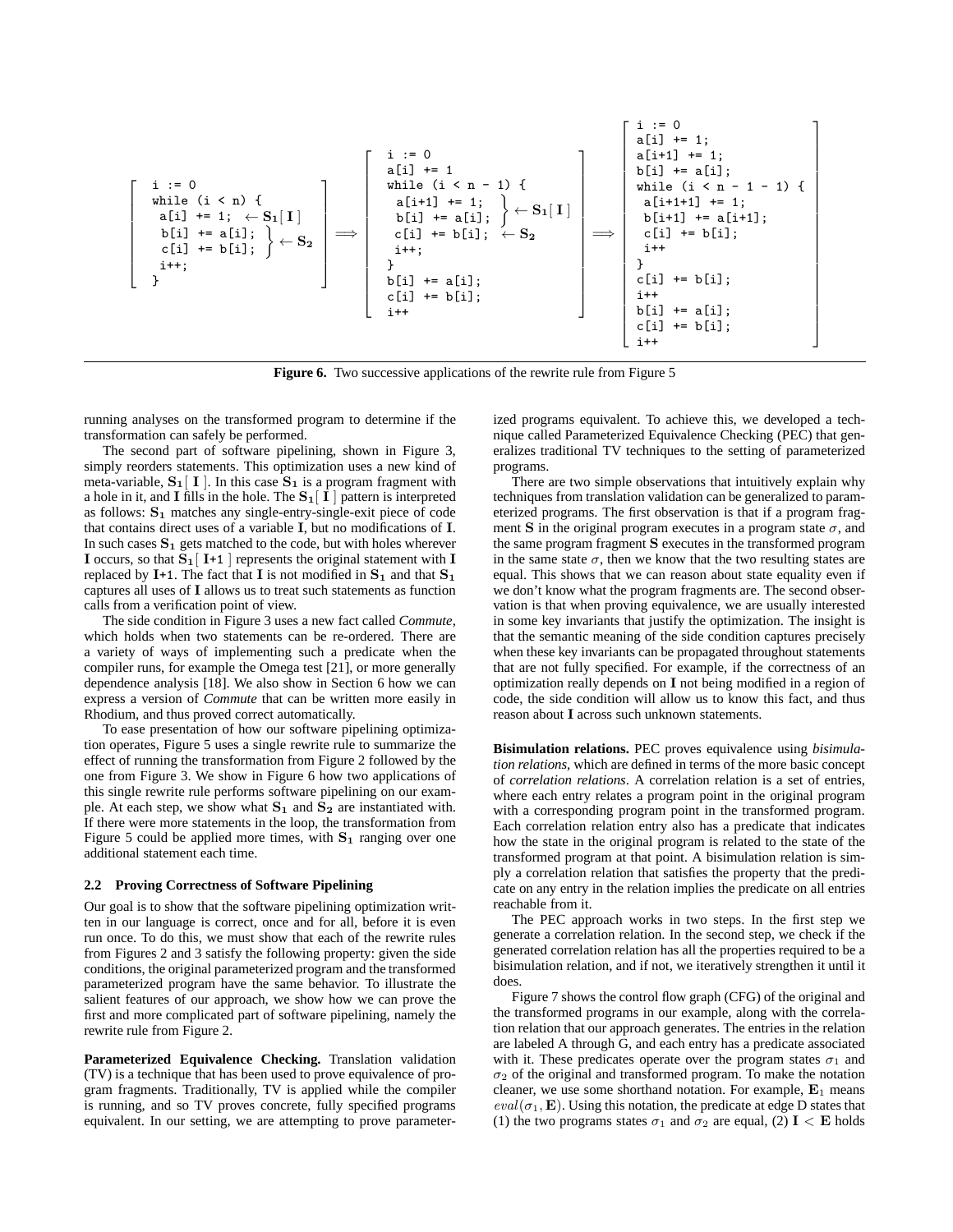$$
\left[\begin{array}{c}i:=0\\kli\end{array}\right]\left[\begin{array}{c}i:=0\\kli\end{array}\right]\left[\begin{array}{c}i:=0\\kli\end{array}\right]\left[\begin{array}{c}i:=0\\kli\end{array}\right]\left[\begin{array}{c}i:=0\\kli\end{array}\right]\left[\begin{array}{c}i:=0\\kli\end{array}\right]\left[\begin{array}{c}i:=0\\kli\end{array}\right]\left[\begin{array}{c}i:=0\\kli\end{array}\right]\left[\begin{array}{c}i:=0\\kli\end{array}\right]\left[\begin{array}{c}i:=0\\kli\end{array}\right]\left[\begin{array}{c}i:=0\\kli\end{array}\right]\left[\begin{array}{c}i:=0\\kli\end{array}\right]\left[\begin{array}{c}i:=0\\kli\end{array}\right]\left[\begin{array}{c}i:=0\\kli\end{array}\right]\left[\begin{array}{c}i:=0\\kli\end{array}\right]\left[\begin{array}{c}i:=0\\kli\end{array}\right]\left[\begin{array}{c}i:=0\\kli\end{array}\right]\left[\begin{array}{c}i:=0\\kli\end{array}\right]\left[\begin{array}{c}i:=0\\kli\end{array}\right]\left[\begin{array}{c}i:=0\\kli\end{array}\right]\left[\begin{array}{c}i:=0\\kli\end{array}\right]\left[\begin{array}{c}i:=0\\kli\end{array}\right]\left[\begin{array}{c}i:=0\\kli\end{array}\right]\left[\begin{array}{c}i:=0\\kli\end{array}\right]\left[\begin{array}{c}i:=0\\kli\end{array}\right]\left[\begin{array}{c}i:=0\\kli\end{array}\right]\left[\begin{array}{c}i:=0\\kli\end{array}\right]\left[\begin{array}{c}i:=0\\kli\end{array}\right]\left[\begin{array}{c}i:=0\\kli\end{array}\right]\left[\begin{array}{c}i:=0\\kli\end{array}\right]\left[\begin{array}{c}i:=0\\kli\end{array}\right]\left[\begin{array}{c}i:=0\\kli\end{array}\right]\left[\begin{array}{c}i:=0\\kli\end{array}\right]\left[\begin{array}{c}i:=0\\kli\end{array}\right]\left[\begin{array}{c}i:=0\\kli\end{array}\right]\left[\begin{array}{c}i:=0\\kli\end{array}\right]\left[\begin
$$

**Figure 6.** Two successive applications of the rewrite rule from Figure 5

running analyses on the transformed program to determine if the transformation can safely be performed.

The second part of software pipelining, shown in Figure 3, simply reorders statements. This optimization uses a new kind of meta-variable,  $S_1[I]$ . In this case  $S_1$  is a program fragment with a hole in it, and **I** fills in the hole. The  $S_1[I]$  pattern is interpreted as follows:  $S_1$  matches any single-entry-single-exit piece of code that contains direct uses of a variable I, but no modifications of I. In such cases  $S_1$  gets matched to the code, but with holes wherever I occurs, so that  $S_1$  I +1 ] represents the original statement with I replaced by I+1. The fact that I is not modified in  $S_1$  and that  $S_1$ captures all uses of I allows us to treat such statements as function calls from a verification point of view.

The side condition in Figure 3 uses a new fact called *Commute*, which holds when two statements can be re-ordered. There are a variety of ways of implementing such a predicate when the compiler runs, for example the Omega test [21], or more generally dependence analysis [18]. We also show in Section 6 how we can express a version of *Commute* that can be written more easily in Rhodium, and thus proved correct automatically.

To ease presentation of how our software pipelining optimization operates, Figure 5 uses a single rewrite rule to summarize the effect of running the transformation from Figure 2 followed by the one from Figure 3. We show in Figure 6 how two applications of this single rewrite rule performs software pipelining on our example. At each step, we show what  $S_1$  and  $S_2$  are instantiated with. If there were more statements in the loop, the transformation from Figure 5 could be applied more times, with  $S_1$  ranging over one additional statement each time.

#### **2.2 Proving Correctness of Software Pipelining**

Our goal is to show that the software pipelining optimization written in our language is correct, once and for all, before it is even run once. To do this, we must show that each of the rewrite rules from Figures 2 and 3 satisfy the following property: given the side conditions, the original parameterized program and the transformed parameterized program have the same behavior. To illustrate the salient features of our approach, we show how we can prove the first and more complicated part of software pipelining, namely the rewrite rule from Figure 2.

**Parameterized Equivalence Checking.** Translation validation (TV) is a technique that has been used to prove equivalence of program fragments. Traditionally, TV is applied while the compiler is running, and so TV proves concrete, fully specified programs equivalent. In our setting, we are attempting to prove parameterized programs equivalent. To achieve this, we developed a technique called Parameterized Equivalence Checking (PEC) that generalizes traditional TV techniques to the setting of parameterized programs.

There are two simple observations that intuitively explain why techniques from translation validation can be generalized to parameterized programs. The first observation is that if a program fragment S in the original program executes in a program state  $\sigma$ , and the same program fragment S executes in the transformed program in the same state  $\sigma$ , then we know that the two resulting states are equal. This shows that we can reason about state equality even if we don't know what the program fragments are. The second observation is that when proving equivalence, we are usually interested in some key invariants that justify the optimization. The insight is that the semantic meaning of the side condition captures precisely when these key invariants can be propagated throughout statements that are not fully specified. For example, if the correctness of an optimization really depends on I not being modified in a region of code, the side condition will allow us to know this fact, and thus reason about I across such unknown statements.

**Bisimulation relations.** PEC proves equivalence using *bisimulation relations*, which are defined in terms of the more basic concept of *correlation relations*. A correlation relation is a set of entries, where each entry relates a program point in the original program with a corresponding program point in the transformed program. Each correlation relation entry also has a predicate that indicates how the state in the original program is related to the state of the transformed program at that point. A bisimulation relation is simply a correlation relation that satisfies the property that the predicate on any entry in the relation implies the predicate on all entries reachable from it.

The PEC approach works in two steps. In the first step we generate a correlation relation. In the second step, we check if the generated correlation relation has all the properties required to be a bisimulation relation, and if not, we iteratively strengthen it until it does.

Figure 7 shows the control flow graph (CFG) of the original and the transformed programs in our example, along with the correlation relation that our approach generates. The entries in the relation are labeled A through G, and each entry has a predicate associated with it. These predicates operate over the program states  $\sigma_1$  and  $\sigma_2$  of the original and transformed program. To make the notation cleaner, we use some shorthand notation. For example,  $E_1$  means  $eval(\sigma_1, \mathbf{E})$ . Using this notation, the predicate at edge D states that (1) the two programs states  $\sigma_1$  and  $\sigma_2$  are equal, (2)  $\mathbf{I} < \mathbf{E}$  holds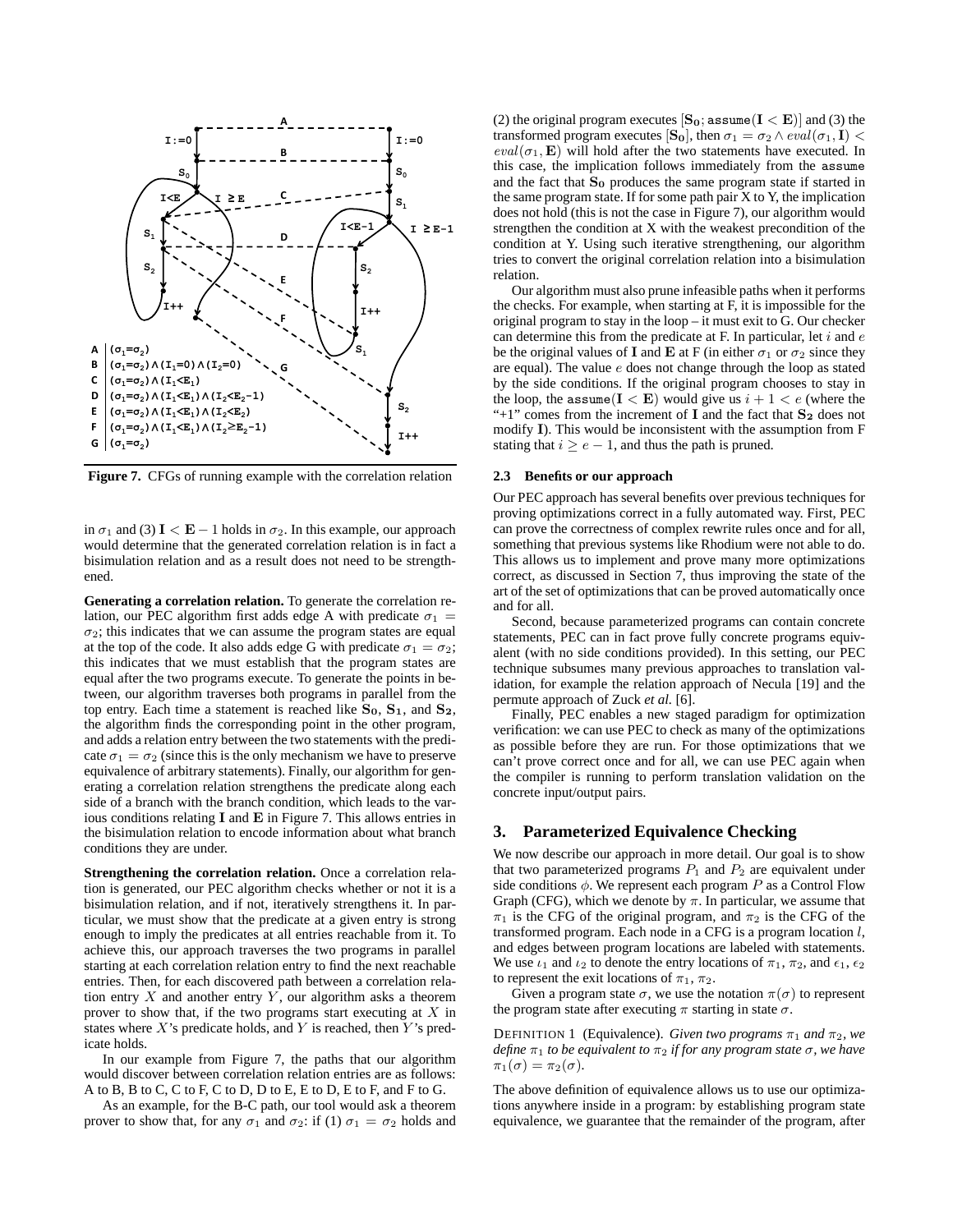

**Figure 7.** CFGs of running example with the correlation relation

in  $\sigma_1$  and (3)  $\mathbf{I} < \mathbf{E} - 1$  holds in  $\sigma_2$ . In this example, our approach would determine that the generated correlation relation is in fact a bisimulation relation and as a result does not need to be strengthened.

**Generating a correlation relation.** To generate the correlation relation, our PEC algorithm first adds edge A with predicate  $\sigma_1$  =  $\sigma_2$ ; this indicates that we can assume the program states are equal at the top of the code. It also adds edge G with predicate  $\sigma_1 = \sigma_2$ ; this indicates that we must establish that the program states are equal after the two programs execute. To generate the points in between, our algorithm traverses both programs in parallel from the top entry. Each time a statement is reached like  $S_0$ ,  $S_1$ , and  $S_2$ , the algorithm finds the corresponding point in the other program, and adds a relation entry between the two statements with the predicate  $\sigma_1 = \sigma_2$  (since this is the only mechanism we have to preserve equivalence of arbitrary statements). Finally, our algorithm for generating a correlation relation strengthens the predicate along each side of a branch with the branch condition, which leads to the various conditions relating I and E in Figure 7. This allows entries in the bisimulation relation to encode information about what branch conditions they are under.

**Strengthening the correlation relation.** Once a correlation relation is generated, our PEC algorithm checks whether or not it is a bisimulation relation, and if not, iteratively strengthens it. In particular, we must show that the predicate at a given entry is strong enough to imply the predicates at all entries reachable from it. To achieve this, our approach traverses the two programs in parallel starting at each correlation relation entry to find the next reachable entries. Then, for each discovered path between a correlation relation entry  $X$  and another entry  $Y$ , our algorithm asks a theorem prover to show that, if the two programs start executing at  $X$  in states where  $X$ 's predicate holds, and  $Y$  is reached, then  $Y$ 's predicate holds.

In our example from Figure 7, the paths that our algorithm would discover between correlation relation entries are as follows: A to B, B to C, C to F, C to D, D to E, E to D, E to F, and F to G.

As an example, for the B-C path, our tool would ask a theorem prover to show that, for any  $\sigma_1$  and  $\sigma_2$ : if (1)  $\sigma_1 = \sigma_2$  holds and

(2) the original program executes  $[S_0; \text{assume}(I \le E)]$  and (3) the transformed program executes  $[\mathbf{S_0}]$ , then  $\sigma_1 = \sigma_2 \wedge eval(\sigma_1, \mathbf{I})$  <  $eval(\sigma_1, \mathbf{E})$  will hold after the two statements have executed. In this case, the implication follows immediately from the assume and the fact that  $S_0$  produces the same program state if started in the same program state. If for some path pair  $X$  to  $Y$ , the implication does not hold (this is not the case in Figure 7), our algorithm would strengthen the condition at X with the weakest precondition of the condition at Y. Using such iterative strengthening, our algorithm tries to convert the original correlation relation into a bisimulation relation.

Our algorithm must also prune infeasible paths when it performs the checks. For example, when starting at F, it is impossible for the original program to stay in the loop – it must exit to G. Our checker can determine this from the predicate at F. In particular, let  $i$  and  $e$ be the original values of I and E at F (in either  $\sigma_1$  or  $\sigma_2$  since they are equal). The value e does not change through the loop as stated by the side conditions. If the original program chooses to stay in the loop, the assume  $(I \lt E)$  would give us  $i + 1 \lt e$  (where the "+1" comes from the increment of I and the fact that  $S_2$  does not modify I). This would be inconsistent with the assumption from F stating that  $i \ge e - 1$ , and thus the path is pruned.

#### **2.3 Benefits or our approach**

Our PEC approach has several benefits over previous techniques for proving optimizations correct in a fully automated way. First, PEC can prove the correctness of complex rewrite rules once and for all, something that previous systems like Rhodium were not able to do. This allows us to implement and prove many more optimizations correct, as discussed in Section 7, thus improving the state of the art of the set of optimizations that can be proved automatically once and for all.

Second, because parameterized programs can contain concrete statements, PEC can in fact prove fully concrete programs equivalent (with no side conditions provided). In this setting, our PEC technique subsumes many previous approaches to translation validation, for example the relation approach of Necula [19] and the permute approach of Zuck *et al.* [6].

Finally, PEC enables a new staged paradigm for optimization verification: we can use PEC to check as many of the optimizations as possible before they are run. For those optimizations that we can't prove correct once and for all, we can use PEC again when the compiler is running to perform translation validation on the concrete input/output pairs.

#### **3. Parameterized Equivalence Checking**

We now describe our approach in more detail. Our goal is to show that two parameterized programs  $P_1$  and  $P_2$  are equivalent under side conditions  $\phi$ . We represent each program P as a Control Flow Graph (CFG), which we denote by  $\pi$ . In particular, we assume that  $\pi_1$  is the CFG of the original program, and  $\pi_2$  is the CFG of the transformed program. Each node in a CFG is a program location l, and edges between program locations are labeled with statements. We use  $\iota_1$  and  $\iota_2$  to denote the entry locations of  $\pi_1$ ,  $\pi_2$ , and  $\epsilon_1$ ,  $\epsilon_2$ to represent the exit locations of  $\pi_1$ ,  $\pi_2$ .

Given a program state  $\sigma$ , we use the notation  $\pi(\sigma)$  to represent the program state after executing  $\pi$  starting in state  $\sigma$ .

**DEFINITION 1** (Equivalence). *Given two programs*  $\pi_1$  *and*  $\pi_2$ *, we define*  $\pi_1$  *to be equivalent to*  $\pi_2$  *if for any program state*  $\sigma$ *, we have*  $\pi_1(\sigma) = \pi_2(\sigma)$ .

The above definition of equivalence allows us to use our optimizations anywhere inside in a program: by establishing program state equivalence, we guarantee that the remainder of the program, after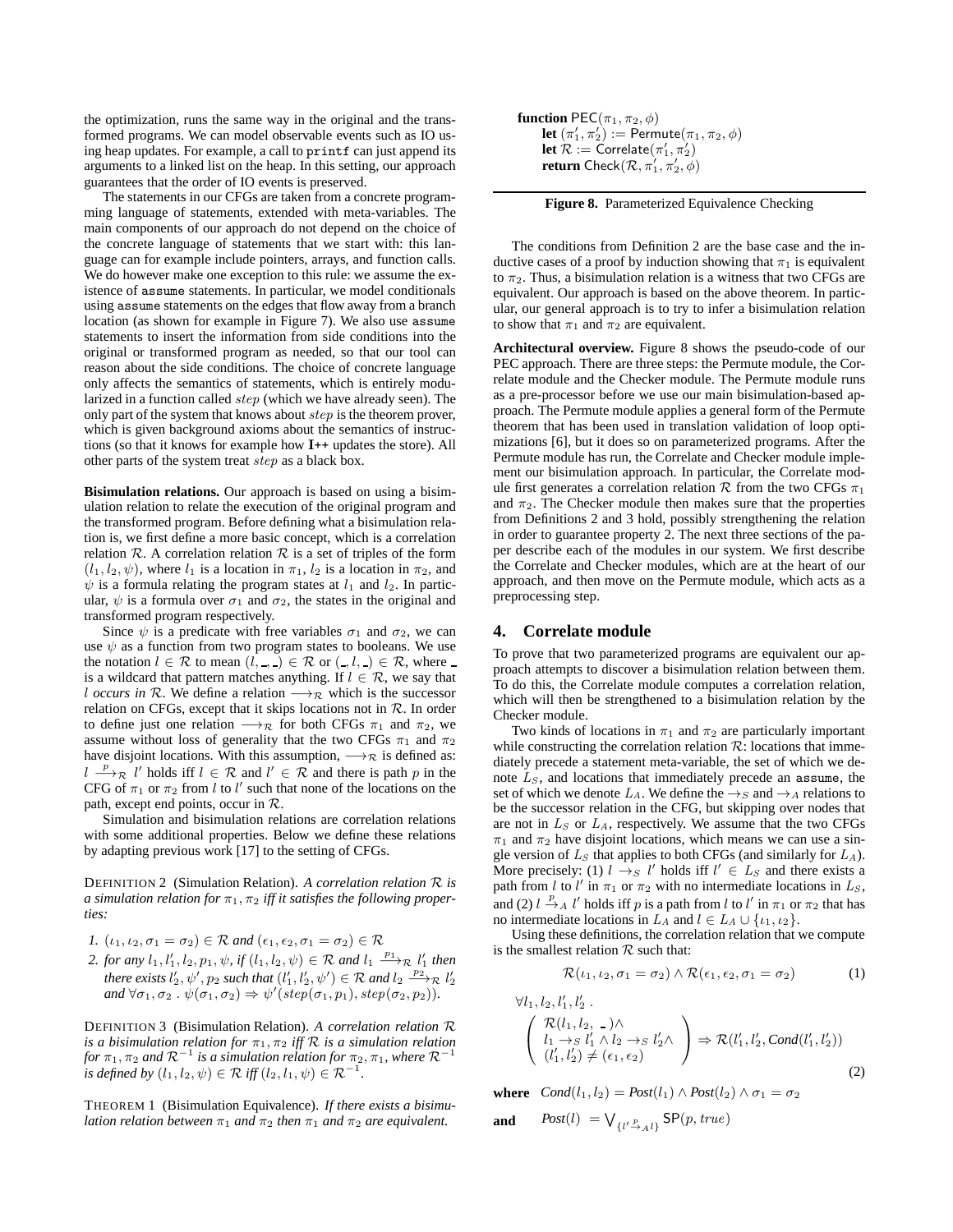the optimization, runs the same way in the original and the transformed programs. We can model observable events such as IO using heap updates. For example, a call to printf can just append its arguments to a linked list on the heap. In this setting, our approach guarantees that the order of IO events is preserved.

The statements in our CFGs are taken from a concrete programming language of statements, extended with meta-variables. The main components of our approach do not depend on the choice of the concrete language of statements that we start with: this language can for example include pointers, arrays, and function calls. We do however make one exception to this rule: we assume the existence of assume statements. In particular, we model conditionals using assume statements on the edges that flow away from a branch location (as shown for example in Figure 7). We also use assume statements to insert the information from side conditions into the original or transformed program as needed, so that our tool can reason about the side conditions. The choice of concrete language only affects the semantics of statements, which is entirely modularized in a function called step (which we have already seen). The only part of the system that knows about step is the theorem prover, which is given background axioms about the semantics of instructions (so that it knows for example how I++ updates the store). All other parts of the system treat step as a black box.

**Bisimulation relations.** Our approach is based on using a bisimulation relation to relate the execution of the original program and the transformed program. Before defining what a bisimulation relation is, we first define a more basic concept, which is a correlation relation  $R$ . A correlation relation  $R$  is a set of triples of the form  $(l_1, l_2, \psi)$ , where  $l_1$  is a location in  $\pi_1$ ,  $l_2$  is a location in  $\pi_2$ , and  $\psi$  is a formula relating the program states at  $l_1$  and  $l_2$ . In particular,  $\psi$  is a formula over  $\sigma_1$  and  $\sigma_2$ , the states in the original and transformed program respectively.

Since  $\psi$  is a predicate with free variables  $\sigma_1$  and  $\sigma_2$ , we can use  $\psi$  as a function from two program states to booleans. We use the notation  $l \in \mathcal{R}$  to mean  $(l, \ldots) \in \mathcal{R}$  or  $(\ldots, l, \ldots) \in \mathcal{R}$ , where is a wildcard that pattern matches anything. If  $l \in \mathcal{R}$ , we say that *l occurs in*  $\mathcal{R}$ . We define a relation  $\longrightarrow_{\mathcal{R}}$  which is the successor relation on CFGs, except that it skips locations not in  $R$ . In order to define just one relation  $\longrightarrow_{\mathcal{R}}$  for both CFGs  $\pi_1$  and  $\pi_2$ , we assume without loss of generality that the two CFGs  $\pi_1$  and  $\pi_2$ have disjoint locations. With this assumption,  $\rightarrow_{\mathcal{R}}$  is defined as:  $l \stackrel{p}{\longrightarrow}_{\mathcal{R}} l'$  holds iff  $l \in \mathcal{R}$  and  $l' \in \mathcal{R}$  and there is path p in the CFG of  $\pi_1$  or  $\pi_2$  from l to l' such that none of the locations on the path, except end points, occur in R.

Simulation and bisimulation relations are correlation relations with some additional properties. Below we define these relations by adapting previous work [17] to the setting of CFGs.

DEFINITION 2 (Simulation Relation). *A correlation relation* R *is a simulation relation for*  $\pi_1$ ,  $\pi_2$  *iff it satisfies the following properties:*

*1.*  $(\iota_1, \iota_2, \sigma_1 = \sigma_2) \in \mathcal{R}$  *and*  $(\epsilon_1, \epsilon_2, \sigma_1 = \sigma_2) \in \mathcal{R}$ 

2. for any  $l_1, l'_1, l_2, p_1, \psi$ , if  $(l_1, l_2, \psi) \in \mathcal{R}$  and  $l_1 \stackrel{p_1}{\longrightarrow} \mathcal{R}$   $l'_1$  then *there exists*  $l'_2, \psi', p_2$  *such that*  $(l'_1, l'_2, \psi') \in \mathcal{R}$  *and*  $l_2 \xrightarrow{p_2} \mathcal{R} l'_2$ <br>*and*  $\forall \sigma_1, \sigma_2 \cdot \psi(\sigma_1, \sigma_2) \Rightarrow \psi'(step(\sigma_1, p_1), step(\sigma_2, p_2))$ .

DEFINITION 3 (Bisimulation Relation). *A correlation relation* R *is a bisimulation relation for*  $\pi_1$ ,  $\pi_2$  *iff*  $\mathcal R$  *is a simulation relation for*  $\pi_1, \pi_2$  and  $\mathcal{R}^{-1}$  is a simulation relation for  $\pi_2, \pi_1$ , where  $\mathcal{R}^{-1}$ *is defined by*  $(l_1, l_2, \psi) \in \mathcal{R}$  *iff*  $(l_2, l_1, \psi) \in \mathcal{R}^{-1}$ *.* 

THEOREM 1 (Bisimulation Equivalence). *If there exists a bisimulation relation between*  $\pi_1$  *and*  $\pi_2$  *then*  $\pi_1$  *and*  $\pi_2$  *are equivalent.* 

**function** PEC( $\pi_1, \pi_2, \phi$ ) **let**  $(\pi'_1, \pi'_2) :=$  Permute $(\pi_1, \pi_2, \phi)$ **let**  $\mathcal{R} := \mathsf{Correlate}(\pi'_1, \pi'_2)$ **return**  $\mathsf{Check}(\mathcal{R}, \pi'_1, \pi'_2, \phi)$ 

**Figure 8.** Parameterized Equivalence Checking

The conditions from Definition 2 are the base case and the inductive cases of a proof by induction showing that  $\pi_1$  is equivalent to  $\pi_2$ . Thus, a bisimulation relation is a witness that two CFGs are equivalent. Our approach is based on the above theorem. In particular, our general approach is to try to infer a bisimulation relation to show that  $\pi_1$  and  $\pi_2$  are equivalent.

**Architectural overview.** Figure 8 shows the pseudo-code of our PEC approach. There are three steps: the Permute module, the Correlate module and the Checker module. The Permute module runs as a pre-processor before we use our main bisimulation-based approach. The Permute module applies a general form of the Permute theorem that has been used in translation validation of loop optimizations [6], but it does so on parameterized programs. After the Permute module has run, the Correlate and Checker module implement our bisimulation approach. In particular, the Correlate module first generates a correlation relation  $\mathcal R$  from the two CFGs  $\pi_1$ and  $\pi_2$ . The Checker module then makes sure that the properties from Definitions 2 and 3 hold, possibly strengthening the relation in order to guarantee property 2. The next three sections of the paper describe each of the modules in our system. We first describe the Correlate and Checker modules, which are at the heart of our approach, and then move on the Permute module, which acts as a preprocessing step.

### **4. Correlate module**

To prove that two parameterized programs are equivalent our approach attempts to discover a bisimulation relation between them. To do this, the Correlate module computes a correlation relation, which will then be strengthened to a bisimulation relation by the Checker module.

Two kinds of locations in  $\pi_1$  and  $\pi_2$  are particularly important while constructing the correlation relation  $\mathcal{R}$ : locations that immediately precede a statement meta-variable, the set of which we denote  $L<sub>S</sub>$ , and locations that immediately precede an assume, the set of which we denote  $L_A$ . We define the  $\rightarrow_S$  and  $\rightarrow_A$  relations to be the successor relation in the CFG, but skipping over nodes that are not in  $L_S$  or  $L_A$ , respectively. We assume that the two CFGs  $\pi_1$  and  $\pi_2$  have disjoint locations, which means we can use a single version of  $L<sub>S</sub>$  that applies to both CFGs (and similarly for  $L<sub>A</sub>$ ). More precisely: (1)  $l \rightarrow_S l'$  holds iff  $l' \in L_S$  and there exists a path from l to l' in  $\pi_1$  or  $\pi_2$  with no intermediate locations in  $L_s$ , and (2)  $l \stackrel{p}{\rightarrow}_A l'$  holds iff p is a path from l to l' in  $\pi_1$  or  $\pi_2$  that has no intermediate locations in  $L_A$  and  $l \in L_A \cup \{i_1, i_2\}.$ 

Using these definitions, the correlation relation that we compute is the smallest relation  $R$  such that:

$$
\mathcal{R}(\iota_1, \iota_2, \sigma_1 = \sigma_2) \wedge \mathcal{R}(\epsilon_1, \epsilon_2, \sigma_1 = \sigma_2) \tag{1}
$$

$$
\forall l_1, l_2, l'_1, l'_2.
$$
  
\n
$$
\begin{pmatrix}\n\mathcal{R}(l_1, l_2, -) \wedge \\
l_1 \rightarrow_S l'_1 \wedge l_2 \rightarrow_S l'_2 \wedge \\
(l'_1, l'_2) \neq (\epsilon_1, \epsilon_2)\n\end{pmatrix} \Rightarrow \mathcal{R}(l'_1, l'_2, Cond(l'_1, l'_2))
$$
\n(2)

**where**  $Cond(l_1, l_2) = Post(l_1) \wedge Post(l_2) \wedge \sigma_1 = \sigma_2$ 

and 
$$
Post(l) = \bigvee_{\{l' \stackrel{p}{\to}_A l\}} \mathsf{SP}(p, true)
$$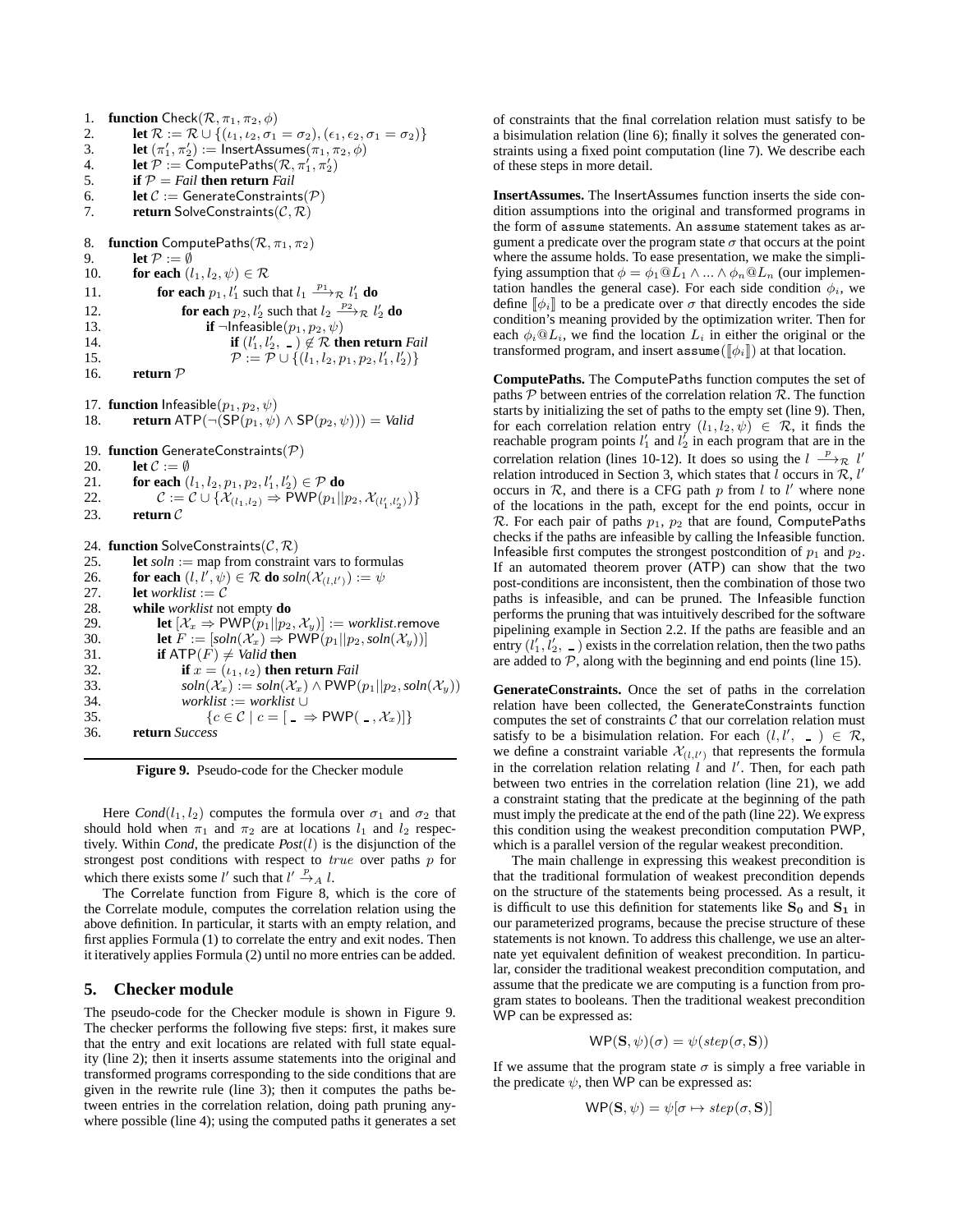1. **function** Check $(\mathcal{R}, \pi_1, \pi_2, \phi)$ 2. **let**  $\mathcal{R} := \mathcal{R} \cup \{(\iota_1, \iota_2, \sigma_1 = \sigma_2), (\epsilon_1, \epsilon_2, \sigma_1 = \sigma_2)\}\$ 3. **let**  $(\pi'_1, \pi'_2) :=$  **lnsertAssumes** $(\pi_1, \pi_2, \phi)$ 4. **let**  $\mathcal{P} := \text{ComputePaths}(\mathcal{R}, \pi'_1, \pi'_2)$ 5. **if**  $P = \text{Fall}$  **then return**  $\text{Fall}$ 6. **let**  $C :=$  GenerateConstraints( $P$ ) 7. **return** SolveConstraints( $C, R$ ) 8. **function** ComputePaths( $\mathcal{R}, \pi_1, \pi_2$ ) 9. **let**  $P := ∅$ 10. **for each**  $(l_1, l_2, \psi) \in \mathcal{R}$ 11. **for each**  $p_1$ ,  $l'_1$  such that  $l_1 \stackrel{p_1}{\longrightarrow} \mathcal{R}$   $l'_1$  **do** 12. **for each**  $p_2$ ,  $l'_2$  such that  $l_2 \xrightarrow{p_2} \mathbb{R} l'_2$  **do** 13. **if**  $\neg$  **if**  $\Box$  **if**  $(l'_1, l'_2, \Box) \notin \mathcal{R}$  **if**  $(l'_1, l'_2, \Box) \notin \mathcal{R}$  **if** 14. **if**  $(l'_1, l'_2, \ldots) \notin \mathcal{R}$  **then return** *Fail* 15.  $\mathcal{P} := \mathcal{P} \cup \{(l_1, l_2, p_1, p_2, l'_1, l'_2)\}\$ 16. **return** P 17. **function**  $\mathsf{Infeasible}(p_1, p_2, \psi)$ <br>18. **return**  $\mathsf{ATP}(\neg(\mathsf{SP}(p_1, \psi)))$ **return** ATP( $\neg(\overline{SP(p_1, \psi)} \land \overline{SP(p_2, \psi)})) =$  *Valid* 19. **function** GenerateConstraints(P) 20. **let**  $C := \emptyset$ 21. **for each**  $(l_1, l_2, p_1, p_2, l'_1, l'_2) \in \mathcal{P}$  **do** 22.  $\mathcal{C} := \mathcal{C} \cup \{ \mathcal{X}_{(l_1,l_2)} \Rightarrow \text{PWP}(p_1 || p_2, \mathcal{X}_{(l'_1,l'_2)}) \}$ 23. **return** C 24. **function** SolveConstraints( $C, R$ ) 25. **let** *soln* := map from constraint vars to formulas 26. **for each**  $(l, l', \psi) \in \mathcal{R}$  **do**  $\text{soln}(\mathcal{X}_{(l, l')}) := \psi$ 27. **let** *worklist* :=  $C$ 28. **while** *worklist* not empty **do** 29. **let**  $[\mathcal{X}_x \Rightarrow \text{PWP}(p_1 || p_2, \mathcal{X}_y)] := \text{worklist}$ .remove 30. **let**  $F := [soln(\mathcal{X}_x) \Rightarrow \text{PWP}(p_1||p_2, soln(\mathcal{X}_y))]$ 31. **if**  $\text{ATP}(F) \neq \text{Valid}$  then **if**  $x = (t_1, t_2)$  then **i** if  $x = (\iota_1, \iota_2)$  then return *Fail* 33.  $\text{soln}(\mathcal{X}_x) := \text{soln}(\mathcal{X}_x) \wedge \text{PWP}(p_1||p_2, \text{soln}(\mathcal{X}_y))$ 34. *worklist* := *worklist* ∪<br>35.  $\{c \in \mathcal{C} \mid c = \lceil c \rceil\}$  ${c \in \mathcal{C} \mid c = [\underline{\hspace{1cm}} \Rightarrow \text{PWP}(\underline{\hspace{1cm}}, X_x)]}$ 36. **return** *Success*

Here *Cond*( $l_1$ ,  $l_2$ ) computes the formula over  $\sigma_1$  and  $\sigma_2$  that should hold when  $\pi_1$  and  $\pi_2$  are at locations  $l_1$  and  $l_2$  respectively. Within *Cond*, the predicate *Post*(l) is the disjunction of the strongest post conditions with respect to  $true$  over paths  $p$  for which there exists some l' such that  $l' \stackrel{p}{\rightarrow}_A l$ .

The Correlate function from Figure 8, which is the core of the Correlate module, computes the correlation relation using the above definition. In particular, it starts with an empty relation, and first applies Formula (1) to correlate the entry and exit nodes. Then it iteratively applies Formula (2) until no more entries can be added.

# **5. Checker module**

The pseudo-code for the Checker module is shown in Figure 9. The checker performs the following five steps: first, it makes sure that the entry and exit locations are related with full state equality (line 2); then it inserts assume statements into the original and transformed programs corresponding to the side conditions that are given in the rewrite rule (line 3); then it computes the paths between entries in the correlation relation, doing path pruning anywhere possible (line 4); using the computed paths it generates a set

of constraints that the final correlation relation must satisfy to be a bisimulation relation (line 6); finally it solves the generated constraints using a fixed point computation (line 7). We describe each of these steps in more detail.

**InsertAssumes.** The InsertAssumes function inserts the side condition assumptions into the original and transformed programs in the form of assume statements. An assume statement takes as argument a predicate over the program state  $\sigma$  that occurs at the point where the assume holds. To ease presentation, we make the simplifying assumption that  $\phi = \phi_1 \mathbb{Q} L_1 \wedge ... \wedge \phi_n \mathbb{Q} L_n$  (our implementation handles the general case). For each side condition  $\phi_i$ , we define  $\llbracket \phi_i \rrbracket$  to be a predicate over  $\sigma$  that directly encodes the side condition's meaning provided by the optimization writer. Then for each  $\phi_i \mathbb{Q} L_i$ , we find the location  $L_i$  in either the original or the transformed program, and insert assume( $[\![\phi_i]\!]$ ) at that location.

**ComputePaths.** The ComputePaths function computes the set of paths  $P$  between entries of the correlation relation  $R$ . The function starts by initializing the set of paths to the empty set (line 9). Then, for each correlation relation entry  $(l_1, l_2, \psi) \in \mathcal{R}$ , it finds the reachable program points  $l'_1$  and  $l'_2$  in each program that are in the correlation relation (lines 10-12). It does so using the  $l \stackrel{p}{\longrightarrow}_{\mathcal{R}} l'$ relation introduced in Section 3, which states that  $l$  occurs in  $R$ ,  $l'$ occurs in  $R$ , and there is a CFG path  $p$  from  $l$  to  $l'$  where none of the locations in the path, except for the end points, occur in R. For each pair of paths  $p_1$ ,  $p_2$  that are found, ComputePaths checks if the paths are infeasible by calling the Infeasible function. Infeasible first computes the strongest postcondition of  $p_1$  and  $p_2$ . If an automated theorem prover (ATP) can show that the two post-conditions are inconsistent, then the combination of those two paths is infeasible, and can be pruned. The Infeasible function performs the pruning that was intuitively described for the software pipelining example in Section 2.2. If the paths are feasible and an entry  $(l'_1, l'_2, ...)$  exists in the correlation relation, then the two paths are added to  $P$ , along with the beginning and end points (line 15).

**GenerateConstraints.** Once the set of paths in the correlation relation have been collected, the GenerateConstraints function computes the set of constraints  $\mathcal C$  that our correlation relation must satisfy to be a bisimulation relation. For each  $(l, l', -) \in \mathcal{R}$ , we define a constraint variable  $\mathcal{X}_{(l,l')}$  that represents the formula in the correlation relation relating  $l$  and  $l'$ . Then, for each path between two entries in the correlation relation (line 21), we add a constraint stating that the predicate at the beginning of the path must imply the predicate at the end of the path (line 22). We express this condition using the weakest precondition computation PWP, which is a parallel version of the regular weakest precondition.

The main challenge in expressing this weakest precondition is that the traditional formulation of weakest precondition depends on the structure of the statements being processed. As a result, it is difficult to use this definition for statements like  $S_0$  and  $S_1$  in our parameterized programs, because the precise structure of these statements is not known. To address this challenge, we use an alternate yet equivalent definition of weakest precondition. In particular, consider the traditional weakest precondition computation, and assume that the predicate we are computing is a function from program states to booleans. Then the traditional weakest precondition WP can be expressed as:

$$
WP(\mathbf{S}, \psi)(\sigma) = \psi(\text{step}(\sigma, \mathbf{S}))
$$

If we assume that the program state  $\sigma$  is simply a free variable in the predicate  $\psi$ , then WP can be expressed as:

$$
WP(\mathbf{S}, \psi) = \psi[\sigma \mapsto \text{step}(\sigma, \mathbf{S})]
$$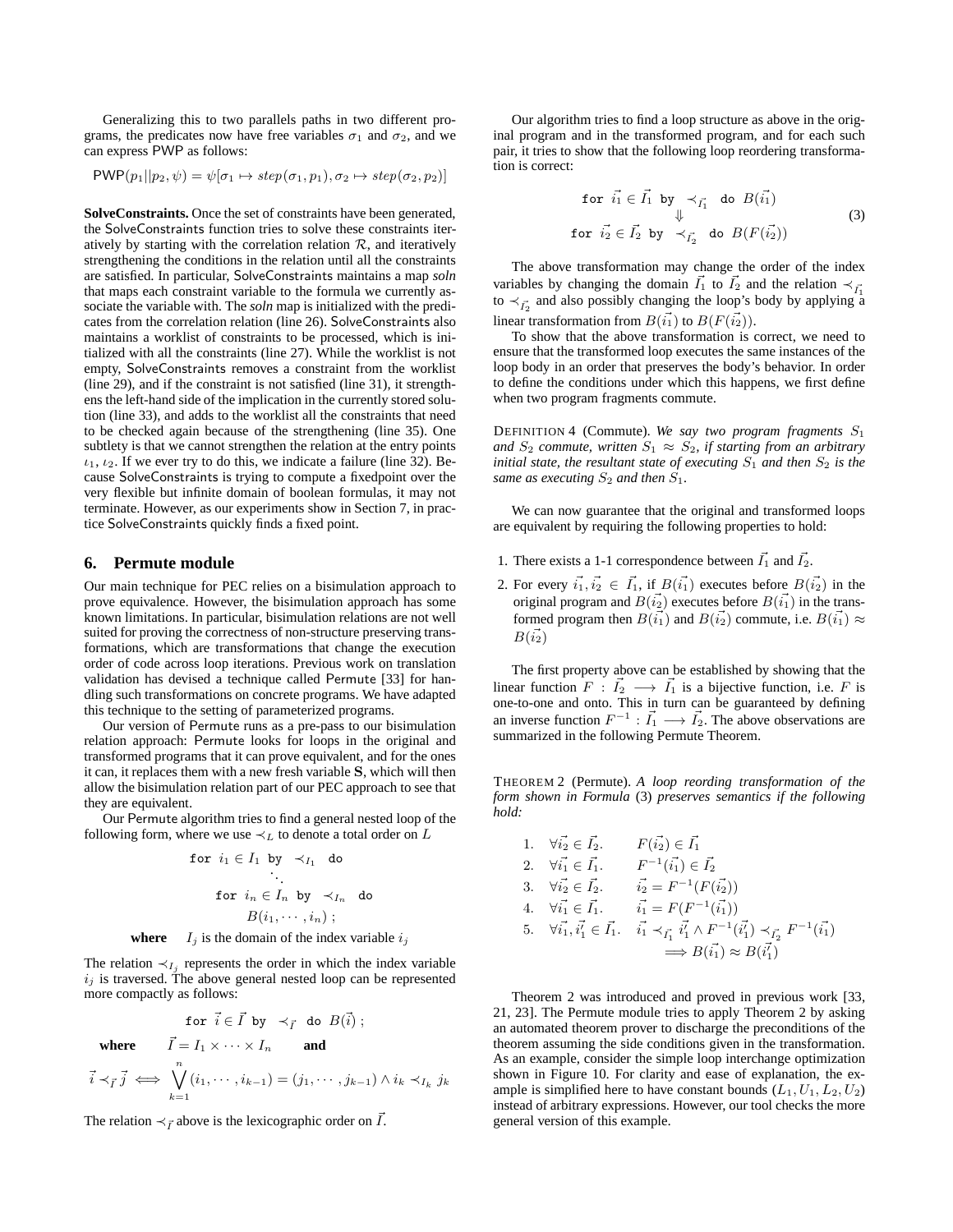Generalizing this to two parallels paths in two different programs, the predicates now have free variables  $\sigma_1$  and  $\sigma_2$ , and we can express PWP as follows:

$$
PWP(p_1||p_2, \psi) = \psi[\sigma_1 \mapsto \text{step}(\sigma_1, p_1), \sigma_2 \mapsto \text{step}(\sigma_2, p_2)]
$$

**SolveConstraints.** Once the set of constraints have been generated, the SolveConstraints function tries to solve these constraints iteratively by starting with the correlation relation  $\mathcal{R}$ , and iteratively strengthening the conditions in the relation until all the constraints are satisfied. In particular, SolveConstraints maintains a map *soln* that maps each constraint variable to the formula we currently associate the variable with. The *soln* map is initialized with the predicates from the correlation relation (line 26). SolveConstraints also maintains a worklist of constraints to be processed, which is initialized with all the constraints (line 27). While the worklist is not empty, SolveConstraints removes a constraint from the worklist (line 29), and if the constraint is not satisfied (line 31), it strengthens the left-hand side of the implication in the currently stored solution (line 33), and adds to the worklist all the constraints that need to be checked again because of the strengthening (line 35). One subtlety is that we cannot strengthen the relation at the entry points  $\iota_1, \iota_2$ . If we ever try to do this, we indicate a failure (line 32). Because SolveConstraints is trying to compute a fixedpoint over the very flexible but infinite domain of boolean formulas, it may not terminate. However, as our experiments show in Section 7, in practice SolveConstraints quickly finds a fixed point.

# **6. Permute module**

Our main technique for PEC relies on a bisimulation approach to prove equivalence. However, the bisimulation approach has some known limitations. In particular, bisimulation relations are not well suited for proving the correctness of non-structure preserving transformations, which are transformations that change the execution order of code across loop iterations. Previous work on translation validation has devised a technique called Permute [33] for handling such transformations on concrete programs. We have adapted this technique to the setting of parameterized programs.

Our version of Permute runs as a pre-pass to our bisimulation relation approach: Permute looks for loops in the original and transformed programs that it can prove equivalent, and for the ones it can, it replaces them with a new fresh variable S, which will then allow the bisimulation relation part of our PEC approach to see that they are equivalent.

Our Permute algorithm tries to find a general nested loop of the following form, where we use  $\prec_L$  to denote a total order on L

$$
\begin{aligned}\n\text{for } i_1 \in I_1 \text{ by } & \prec_{I_1} \text{ do} \\
&\vdots \\
\text{for } i_n \in I_n \text{ by } & \prec_{I_n} \text{ do} \\
& B(i_1, \dots, i_n)\n\end{aligned}
$$

**where**  $I_j$  is the domain of the index variable  $i_j$ 

The relation  $\prec_{I_j}$  represents the order in which the index variable  $i_j$  is traversed. The above general nested loop can be represented more compactly as follows:

$$
\text{for } \vec{i} \in \vec{I} \text{ by } \prec_{\vec{I}} \text{ do } B(\vec{i}) ;
$$

where 
$$
\vec{I} = I_1 \times \cdots \times I_n
$$
 and

$$
\vec{i} \prec_{\vec{I}} \vec{j} \iff \bigvee_{k=1}^{n} (i_1, \cdots, i_{k-1}) = (j_1, \cdots, j_{k-1}) \wedge i_k \prec_{I_k} j_k
$$

The relation  $\prec_{\vec{r}}$  above is the lexicographic order on  $\vec{I}$ .

Our algorithm tries to find a loop structure as above in the original program and in the transformed program, and for each such pair, it tries to show that the following loop reordering transformation is correct:

for 
$$
i_1 \in \vec{I}_1
$$
 by  $\prec_{\vec{I}_1}$  do  $B(i_1)$   
\n{for  $i_2 \in \vec{I}_2$  by  $\prec_{\vec{I}_2}$  do  $B(F(i_2))$  (3)

The above transformation may change the order of the index variables by changing the domain  $\vec{I_1}$  to  $\vec{I_2}$  and the relation  $\prec_{\vec{I_1}}$ to  $\prec_{\vec{I_2}}$  and also possibly changing the loop's body by applying a linear transformation from  $B(\vec{i_1})$  to  $B(F(\vec{i_2}))$ .

To show that the above transformation is correct, we need to ensure that the transformed loop executes the same instances of the loop body in an order that preserves the body's behavior. In order to define the conditions under which this happens, we first define when two program fragments commute.

DEFINITION 4 (Commute). We say two program fragments  $S_1$ and  $S_2$  *commute, written*  $S_1 \approx S_2$ *, if starting from an arbitrary initial state, the resultant state of executing*  $S_1$  *and then*  $S_2$  *is the same as executing*  $S_2$  *and then*  $S_1$ *.* 

We can now guarantee that the original and transformed loops are equivalent by requiring the following properties to hold:

- 1. There exists a 1-1 correspondence between  $\vec{I}_1$  and  $\vec{I}_2$ .
- 2. For every  $\vec{i_1}, \vec{i_2} \in \vec{I_1}$ , if  $B(\vec{i_1})$  executes before  $B(\vec{i_2})$  in the original program and  $B(\vec{i_2})$  executes before  $B(\vec{i_1})$  in the transformed program then  $B(i_1)$  and  $B(i_2)$  commute, i.e.  $B(i_1) \approx$  $B(i_2)$

The first property above can be established by showing that the linear function  $F : I_2 \longrightarrow I_1$  is a bijective function, i.e. F is one-to-one and onto. This in turn can be guaranteed by defining an inverse function  $F^{-1}$ :  $\vec{I_1} \longrightarrow \vec{I_2}$ . The above observations are summarized in the following Permute Theorem.

THEOREM 2 (Permute). *A loop reording transformation of the form shown in Formula* (3) *preserves semantics if the following hold:*

1. 
$$
\forall i_2 \in \vec{I_2}
$$
.  $F(i_2) \in \vec{I_1}$   
\n2.  $\forall i_1 \in \vec{I_1}$ .  $F^{-1}(i_1) \in \vec{I_2}$   
\n3.  $\forall i_2 \in \vec{I_2}$ .  $i_2 = F^{-1}(F(i_2))$   
\n4.  $\forall i_1 \in \vec{I_1}$ .  $i_1 = F(F^{-1}(i_1))$   
\n5.  $\forall i_1, i_1' \in \vec{I_1}$ .  $i_1 \prec_{\vec{I_1}} i_1' \wedge F^{-1}(i_1') \prec_{\vec{I_2}} F^{-1}(i_1)$   
\n $\implies B(i_1') \approx B(i_1')$ 

Theorem 2 was introduced and proved in previous work [33, 21, 23]. The Permute module tries to apply Theorem 2 by asking an automated theorem prover to discharge the preconditions of the theorem assuming the side conditions given in the transformation. As an example, consider the simple loop interchange optimization shown in Figure 10. For clarity and ease of explanation, the example is simplified here to have constant bounds  $(L_1, U_1, L_2, U_2)$ instead of arbitrary expressions. However, our tool checks the more general version of this example.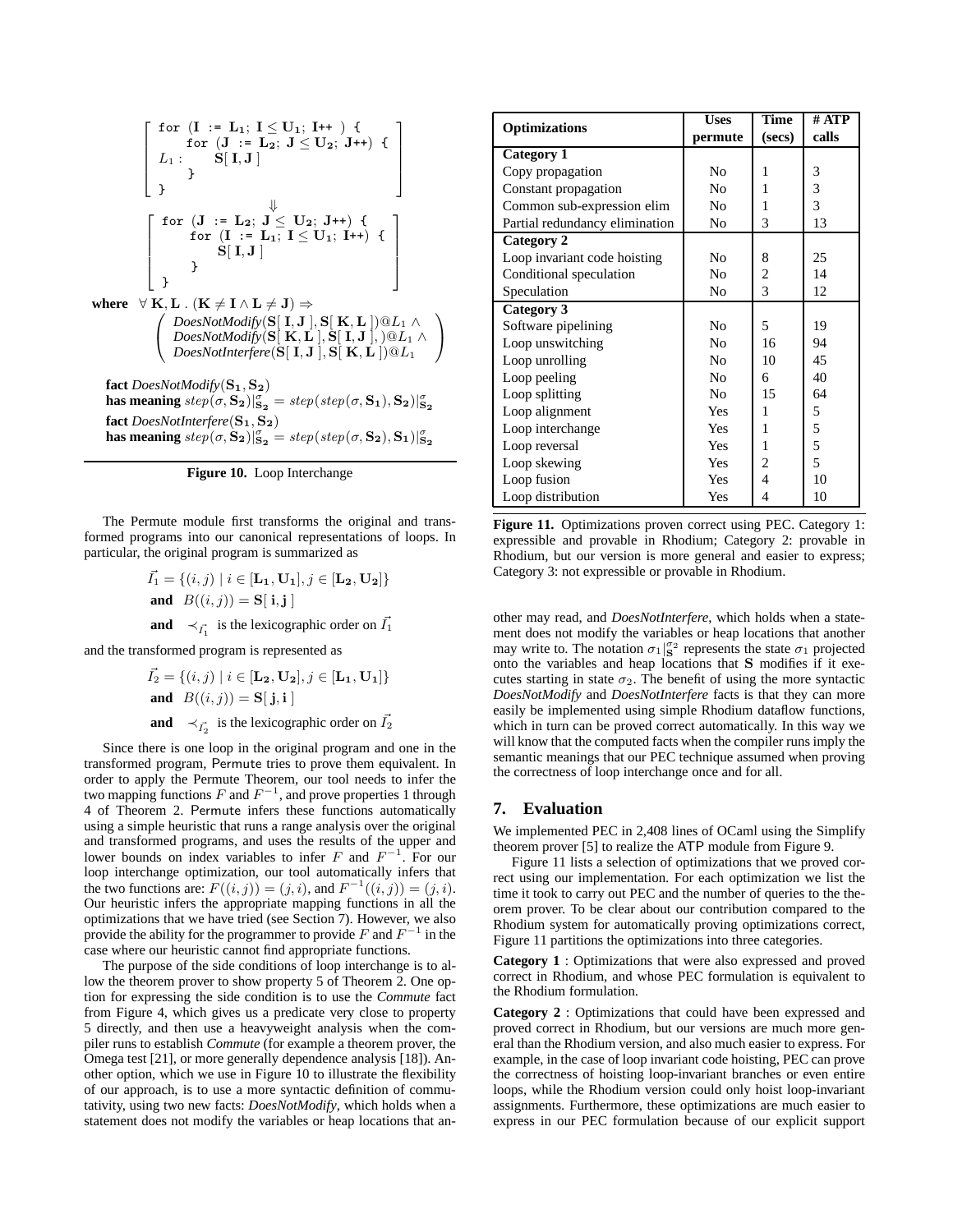$$
\left[\begin{array}{c} \text{for}\,\, (\mathbf{I}\,\, :=\,\, \mathbf{L}_1;\,\, \mathbf{I} \leq \mathbf{U}_1;\,\, \mathbf{I} \!+\!+\,)\,\,\,\{\, \\ \text{for}\,\, \, (\mathbf{J}\,\, :=\,\, \mathbf{L}_2;\,\, \mathbf{J} \leq \mathbf{U}_2;\,\, \mathbf{J} \!+\! \,\,\big)\,\,\, \{\, \\ \text{ } \mathbf{L}_1\,\, :\quad \mathbf{S}[\,\mathbf{I},\mathbf{J}\,] \end{array}\right] \\[0.2cm] \left\{ \begin{array}{c} \text{for}\,\, (\mathbf{J}\,\, :=\,\, \mathbf{L}_2;\,\, \mathbf{J} \leq \mathbf{U}_2;\,\, \mathbf{J} \!+\! \,\,\big)\,\,\, \{\, \\ \text{for}\,\, (\mathbf{I}\,\, :=\,\, \mathbf{L}_1;\,\, \mathbf{I} \leq \mathbf{U}_1;\,\, \mathbf{I} \!+\! \,\,\big)\,\,\, \{\, \\ \text{ } \mathbf{S}[\,\mathbf{I},\mathbf{J}\,] \end{array}\right. \\[0.2cm] \left. \begin{array}{c} \text{for}\,\, (\mathbf{J}\,\, :=\,\, \mathbf{L}_2;\,\, \mathbf{J} \leq \mathbf{U}_2;\,\, \mathbf{J} \!+\! \,\,\big)\,\,\, \{\, \\ \text{for}\,\, (\mathbf{I}\,\, :=\,\, \mathbf{L}_1;\,\, \mathbf{I} \leq \mathbf{U}_1;\,\, \mathbf{I} \!+\! \,\,\big)\,\,\, \{\, \\ \text{ } \mathbf{S}[\,\mathbf{I},\mathbf{J}\,] \end{array}\right] \\[0.2cm] \left. \begin{array}{c} \text{for}\,\, (\mathbf{J}\,\, :=\,\, \mathbf{L}_2;\,\, \mathbf{J} \leq \mathbf{U}_2;\,\, \mathbf{J} \!+\! \,\,\big)\,\,\, \{\, \\ \text{for}\,\, (\mathbf{I}\,\, :=\,\, \mathbf{L}_1;\,\, \mathbf{I} \leq \mathbf{U}_1;\,\, \mathbf{I} \!+\! \,\,\big)\,\,\, \{\, \\ \text{ } \mathbf{S}[\,\mathbf{I},\mathbf{J}\,] \end{array}\right.
$$

 $\mathcal{L}$ *DoesNotInterfere* ( $\mathbf{S}[\ \mathbf{I},\mathbf{J}\ ]$  ,  $\mathbf{S}[\ \mathbf{K},\mathbf{L}\ ]) @L_1$  $\overline{1}$ fact  $DoesNotModify(\mathbf{S_1}, \mathbf{S_2})$ has meaning  $step(\sigma, \mathbf{S_2})|_{\mathbf{S_2}}^{\sigma} = step(step(\sigma, \mathbf{S_1}), \mathbf{S_2})|_{\mathbf{S_2}}^{\sigma}$ **fact** *DoesNotInterfere*( $S_1, S_2$ ) has meaning  $step(\sigma, \mathbf{S_2})|_{\mathbf{S_2}}^{\sigma} = step(step(\sigma, \mathbf{S_2}), \mathbf{S_1})|_{\mathbf{S_2}}^{\sigma}$ 

*DoesNotModify*( $\mathbf{S}[\ \mathbf{K},\mathbf{L}\ ],\mathbf{S}[\ \mathbf{I},\mathbf{J}\ ],)@L_1 \land$ 

 $\setminus$ 

The Permute module first transforms the original and transformed programs into our canonical representations of loops. In particular, the original program is summarized as

> $\vec{I}_1 = \{(i, j) | i \in [\mathbf{L_1}, \mathbf{U_1}], j \in [\mathbf{L_2}, \mathbf{U_2}]\}\$ **and**  $B((i, j)) = S[i, j]$ **and**  $\prec_{\vec{I_1}}$  is the lexicographic order on  $\vec{I_1}$

and the transformed program is represented as

**where** 

$$
\vec{I}_2 = \{ (i, j) \mid i \in [\mathbf{L}_2, \mathbf{U}_2], j \in [\mathbf{L}_1, \mathbf{U}_1] \}
$$
  
and  $B((i, j)) = \mathbf{S}[\mathbf{j}, \mathbf{i}]$   
and  $\prec_{\vec{I}_2}$  is the lexicographic order on  $\vec{I}_2$ 

Since there is one loop in the original program and one in the transformed program, Permute tries to prove them equivalent. In order to apply the Permute Theorem, our tool needs to infer the two mapping functions F and  $F^{-1}$ , and prove properties 1 through 4 of Theorem 2. Permute infers these functions automatically using a simple heuristic that runs a range analysis over the original and transformed programs, and uses the results of the upper and lower bounds on index variables to infer F and  $F^{-1}$ . For our loop interchange optimization, our tool automatically infers that the two functions are:  $F((i, j)) = (j, i)$ , and  $F^{-1}((i, j)) = (j, i)$ . Our heuristic infers the appropriate mapping functions in all the optimizations that we have tried (see Section 7). However, we also provide the ability for the programmer to provide F and  $F^{-1}$  in the case where our heuristic cannot find appropriate functions.

The purpose of the side conditions of loop interchange is to allow the theorem prover to show property 5 of Theorem 2. One option for expressing the side condition is to use the *Commute* fact from Figure 4, which gives us a predicate very close to property 5 directly, and then use a heavyweight analysis when the compiler runs to establish *Commute* (for example a theorem prover, the Omega test [21], or more generally dependence analysis [18]). Another option, which we use in Figure 10 to illustrate the flexibility of our approach, is to use a more syntactic definition of commutativity, using two new facts: *DoesNotModify*, which holds when a statement does not modify the variables or heap locations that an-

| <b>Optimizations</b>           | <b>Uses</b>    | <b>Time</b> | # ATP |
|--------------------------------|----------------|-------------|-------|
|                                | permute        | (secs)      | calls |
| Category 1                     |                |             |       |
| Copy propagation               | No             | 1           | 3     |
| Constant propagation           | N <sub>0</sub> | 1           | 3     |
| Common sub-expression elim     | N <sub>0</sub> | 1           | 3     |
| Partial redundancy elimination | No             | 3           | 13    |
| Category 2                     |                |             |       |
| Loop invariant code hoisting   | No             | 8           | 25    |
| Conditional speculation        | No             | 2           | 14    |
| Speculation                    | No             | 3           | 12    |
| Category 3                     |                |             |       |
| Software pipelining            | N <sub>o</sub> | 5           | 19    |
| Loop unswitching               | No             | 16          | 94    |
| Loop unrolling                 | N <sub>0</sub> | 10          | 45    |
| Loop peeling                   | N <sub>0</sub> | 6           | 40    |
| Loop splitting                 | No             | 15          | 64    |
| Loop alignment                 | Yes            | 1           | 5     |
| Loop interchange               | Yes            | 1           | 5     |
| Loop reversal                  | Yes            | 1           | 5     |
| Loop skewing                   | Yes            | 2           | 5     |
| Loop fusion                    | Yes            | 4           | 10    |
| Loop distribution              | Yes            | 4           | 10    |

Figure 11. Optimizations proven correct using PEC. Category 1: expressible and provable in Rhodium; Category 2: provable in Rhodium, but our version is more general and easier to express; Category 3: not expressible or provable in Rhodium.

other may read, and *DoesNotInterfere*, which holds when a statement does not modify the variables or heap locations that another may write to. The notation  $\sigma_1|_{\mathbf{S}^2}^{\sigma_2}$  represents the state  $\sigma_1$  projected onto the variables and heap locations that S modifies if it executes starting in state  $\sigma_2$ . The benefit of using the more syntactic *DoesNotModify* and *DoesNotInterfere* facts is that they can more easily be implemented using simple Rhodium dataflow functions, which in turn can be proved correct automatically. In this way we will know that the computed facts when the compiler runs imply the semantic meanings that our PEC technique assumed when proving the correctness of loop interchange once and for all.

# **7. Evaluation**

We implemented PEC in 2,408 lines of OCaml using the Simplify theorem prover [5] to realize the ATP module from Figure 9.

Figure 11 lists a selection of optimizations that we proved correct using our implementation. For each optimization we list the time it took to carry out PEC and the number of queries to the theorem prover. To be clear about our contribution compared to the Rhodium system for automatically proving optimizations correct, Figure 11 partitions the optimizations into three categories.

**Category 1** : Optimizations that were also expressed and proved correct in Rhodium, and whose PEC formulation is equivalent to the Rhodium formulation.

**Category 2** : Optimizations that could have been expressed and proved correct in Rhodium, but our versions are much more general than the Rhodium version, and also much easier to express. For example, in the case of loop invariant code hoisting, PEC can prove the correctness of hoisting loop-invariant branches or even entire loops, while the Rhodium version could only hoist loop-invariant assignments. Furthermore, these optimizations are much easier to express in our PEC formulation because of our explicit support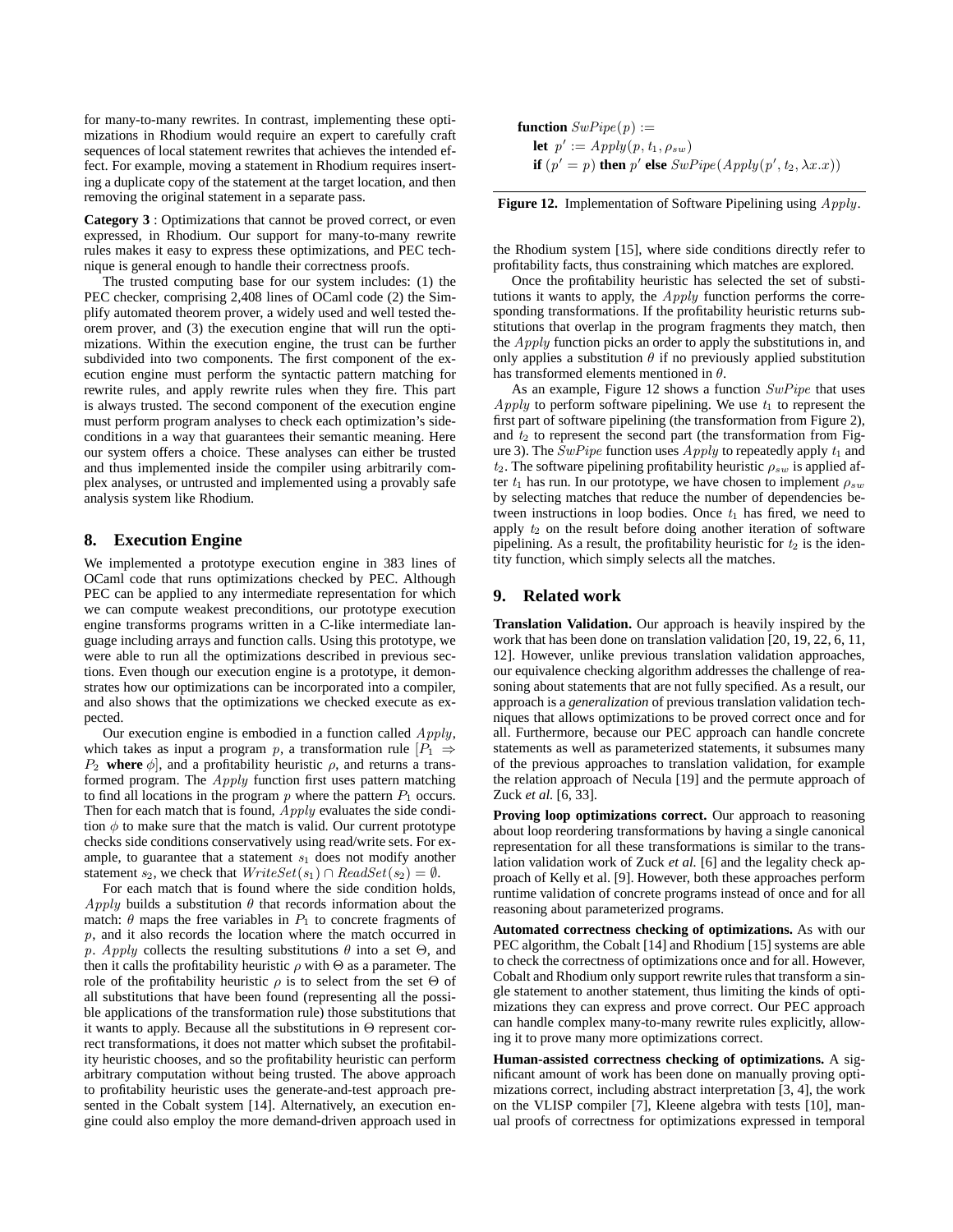for many-to-many rewrites. In contrast, implementing these optimizations in Rhodium would require an expert to carefully craft sequences of local statement rewrites that achieves the intended effect. For example, moving a statement in Rhodium requires inserting a duplicate copy of the statement at the target location, and then removing the original statement in a separate pass.

**Category 3** : Optimizations that cannot be proved correct, or even expressed, in Rhodium. Our support for many-to-many rewrite rules makes it easy to express these optimizations, and PEC technique is general enough to handle their correctness proofs.

The trusted computing base for our system includes: (1) the PEC checker, comprising 2,408 lines of OCaml code (2) the Simplify automated theorem prover, a widely used and well tested theorem prover, and (3) the execution engine that will run the optimizations. Within the execution engine, the trust can be further subdivided into two components. The first component of the execution engine must perform the syntactic pattern matching for rewrite rules, and apply rewrite rules when they fire. This part is always trusted. The second component of the execution engine must perform program analyses to check each optimization's sideconditions in a way that guarantees their semantic meaning. Here our system offers a choice. These analyses can either be trusted and thus implemented inside the compiler using arbitrarily complex analyses, or untrusted and implemented using a provably safe analysis system like Rhodium.

## **8. Execution Engine**

We implemented a prototype execution engine in 383 lines of OCaml code that runs optimizations checked by PEC. Although PEC can be applied to any intermediate representation for which we can compute weakest preconditions, our prototype execution engine transforms programs written in a C-like intermediate language including arrays and function calls. Using this prototype, we were able to run all the optimizations described in previous sections. Even though our execution engine is a prototype, it demonstrates how our optimizations can be incorporated into a compiler, and also shows that the optimizations we checked execute as expected.

Our execution engine is embodied in a function called  $Apply$ , which takes as input a program p, a transformation rule  $|P_1 \rangle$ P<sub>2</sub> **where**  $\phi$ , and a profitability heuristic  $\rho$ , and returns a transformed program. The Apply function first uses pattern matching to find all locations in the program  $p$  where the pattern  $P_1$  occurs. Then for each match that is found, *Apply* evaluates the side condition  $\phi$  to make sure that the match is valid. Our current prototype checks side conditions conservatively using read/write sets. For example, to guarantee that a statement  $s_1$  does not modify another statement  $s_2$ , we check that  $WriteSet(s_1) \cap ReadSet(s_2) = \emptyset$ .

For each match that is found where the side condition holds, *Apply* builds a substitution  $\theta$  that records information about the match:  $\theta$  maps the free variables in  $P_1$  to concrete fragments of p, and it also records the location where the match occurred in p. Apply collects the resulting substitutions  $\theta$  into a set  $\Theta$ , and then it calls the profitability heuristic  $\rho$  with  $\Theta$  as a parameter. The role of the profitability heuristic  $\rho$  is to select from the set  $\Theta$  of all substitutions that have been found (representing all the possible applications of the transformation rule) those substitutions that it wants to apply. Because all the substitutions in Θ represent correct transformations, it does not matter which subset the profitability heuristic chooses, and so the profitability heuristic can perform arbitrary computation without being trusted. The above approach to profitability heuristic uses the generate-and-test approach presented in the Cobalt system [14]. Alternatively, an execution engine could also employ the more demand-driven approach used in

**function** 
$$
SwPipe(p) :=
$$
  
\n**let**  $p' := Apply(p, t_1, \rho_{sw})$   
\n**if**  $(p' = p)$  **then**  $p'$  **else**  $SwPipe(Apply(p', t_2, \lambda x.x))$ 

**Figure 12.** Implementation of Software Pipelining using *Apply*.

the Rhodium system [15], where side conditions directly refer to profitability facts, thus constraining which matches are explored.

Once the profitability heuristic has selected the set of substitutions it wants to apply, the Apply function performs the corresponding transformations. If the profitability heuristic returns substitutions that overlap in the program fragments they match, then the *Apply* function picks an order to apply the substitutions in, and only applies a substitution  $\theta$  if no previously applied substitution has transformed elements mentioned in  $\theta$ .

As an example, Figure 12 shows a function  $SwPipe$  that uses Apply to perform software pipelining. We use  $t_1$  to represent the first part of software pipelining (the transformation from Figure 2), and  $t_2$  to represent the second part (the transformation from Figure 3). The  $\overline{SwPipe}$  function uses  $Apply$  to repeatedly apply  $t_1$  and  $t_2$ . The software pipelining profitability heuristic  $\rho_{sw}$  is applied after  $t_1$  has run. In our prototype, we have chosen to implement  $\rho_{sw}$ by selecting matches that reduce the number of dependencies between instructions in loop bodies. Once  $t_1$  has fired, we need to apply  $t_2$  on the result before doing another iteration of software pipelining. As a result, the profitability heuristic for  $t_2$  is the identity function, which simply selects all the matches.

# **9. Related work**

**Translation Validation.** Our approach is heavily inspired by the work that has been done on translation validation [20, 19, 22, 6, 11, 12]. However, unlike previous translation validation approaches, our equivalence checking algorithm addresses the challenge of reasoning about statements that are not fully specified. As a result, our approach is a *generalization* of previous translation validation techniques that allows optimizations to be proved correct once and for all. Furthermore, because our PEC approach can handle concrete statements as well as parameterized statements, it subsumes many of the previous approaches to translation validation, for example the relation approach of Necula [19] and the permute approach of Zuck *et al.* [6, 33].

**Proving loop optimizations correct.** Our approach to reasoning about loop reordering transformations by having a single canonical representation for all these transformations is similar to the translation validation work of Zuck *et al.* [6] and the legality check approach of Kelly et al. [9]. However, both these approaches perform runtime validation of concrete programs instead of once and for all reasoning about parameterized programs.

**Automated correctness checking of optimizations.** As with our PEC algorithm, the Cobalt [14] and Rhodium [15] systems are able to check the correctness of optimizations once and for all. However, Cobalt and Rhodium only support rewrite rules that transform a single statement to another statement, thus limiting the kinds of optimizations they can express and prove correct. Our PEC approach can handle complex many-to-many rewrite rules explicitly, allowing it to prove many more optimizations correct.

**Human-assisted correctness checking of optimizations.** A significant amount of work has been done on manually proving optimizations correct, including abstract interpretation [3, 4], the work on the VLISP compiler [7], Kleene algebra with tests [10], manual proofs of correctness for optimizations expressed in temporal